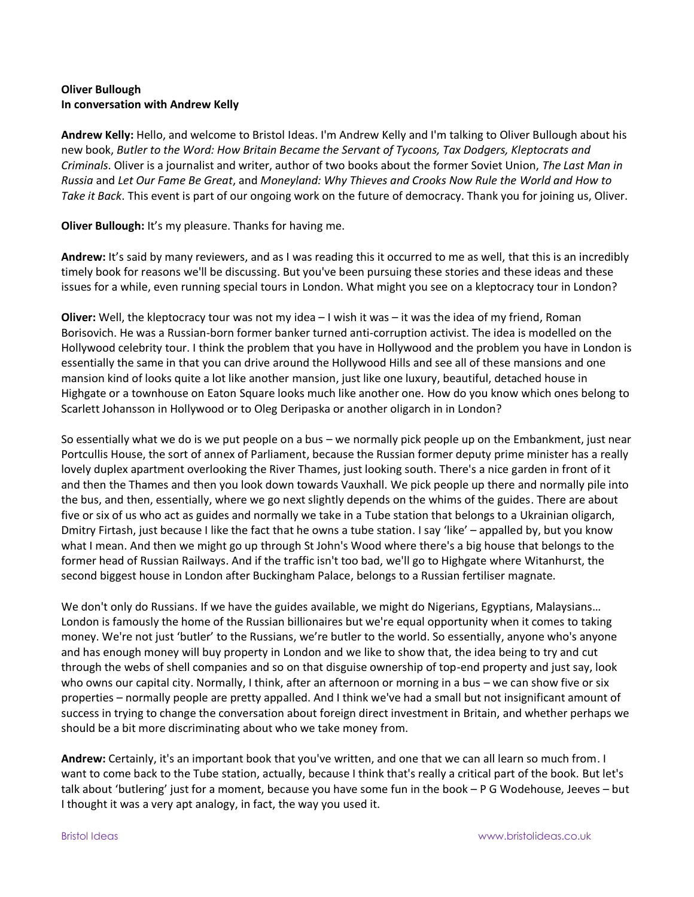## **Oliver Bullough In conversation with Andrew Kelly**

**Andrew Kelly:** Hello, and welcome to Bristol Ideas. I'm Andrew Kelly and I'm talking to Oliver Bullough about his new book, *Butler to the Word: How Britain Became the Servant of Tycoons, Tax Dodgers, Kleptocrats and Criminals*. Oliver is a journalist and writer, author of two books about the former Soviet Union, *The Last Man in Russia* and *Let Our Fame Be Great*, and *Moneyland: Why Thieves and Crooks Now Rule the World and How to Take it Back*. This event is part of our ongoing work on the future of democracy. Thank you for joining us, Oliver.

**Oliver Bullough:** It's my pleasure. Thanks for having me.

**Andrew:** It's said by many reviewers, and as I was reading this it occurred to me as well, that this is an incredibly timely book for reasons we'll be discussing. But you've been pursuing these stories and these ideas and these issues for a while, even running special tours in London. What might you see on a kleptocracy tour in London?

**Oliver:** Well, the kleptocracy tour was not my idea – I wish it was – it was the idea of my friend, Roman Borisovich. He was a Russian-born former banker turned anti-corruption activist. The idea is modelled on the Hollywood celebrity tour. I think the problem that you have in Hollywood and the problem you have in London is essentially the same in that you can drive around the Hollywood Hills and see all of these mansions and one mansion kind of looks quite a lot like another mansion, just like one luxury, beautiful, detached house in Highgate or a townhouse on Eaton Square looks much like another one. How do you know which ones belong to Scarlett Johansson in Hollywood or to Oleg Deripaska or another oligarch in in London?

So essentially what we do is we put people on a bus – we normally pick people up on the Embankment, just near Portcullis House, the sort of annex of Parliament, because the Russian former deputy prime minister has a really lovely duplex apartment overlooking the River Thames, just looking south. There's a nice garden in front of it and then the Thames and then you look down towards Vauxhall. We pick people up there and normally pile into the bus, and then, essentially, where we go next slightly depends on the whims of the guides. There are about five or six of us who act as guides and normally we take in a Tube station that belongs to a Ukrainian oligarch, Dmitry Firtash, just because I like the fact that he owns a tube station. I say 'like' – appalled by, but you know what I mean. And then we might go up through St John's Wood where there's a big house that belongs to the former head of Russian Railways. And if the traffic isn't too bad, we'll go to Highgate where Witanhurst, the second biggest house in London after Buckingham Palace, belongs to a Russian fertiliser magnate.

We don't only do Russians. If we have the guides available, we might do Nigerians, Egyptians, Malaysians... London is famously the home of the Russian billionaires but we're equal opportunity when it comes to taking money. We're not just 'butler' to the Russians, we're butler to the world. So essentially, anyone who's anyone and has enough money will buy property in London and we like to show that, the idea being to try and cut through the webs of shell companies and so on that disguise ownership of top-end property and just say, look who owns our capital city. Normally, I think, after an afternoon or morning in a bus – we can show five or six properties – normally people are pretty appalled. And I think we've had a small but not insignificant amount of success in trying to change the conversation about foreign direct investment in Britain, and whether perhaps we should be a bit more discriminating about who we take money from.

**Andrew:** Certainly, it's an important book that you've written, and one that we can all learn so much from. I want to come back to the Tube station, actually, because I think that's really a critical part of the book. But let's talk about 'butlering' just for a moment, because you have some fun in the book – P G Wodehouse, Jeeves – but I thought it was a very apt analogy, in fact, the way you used it.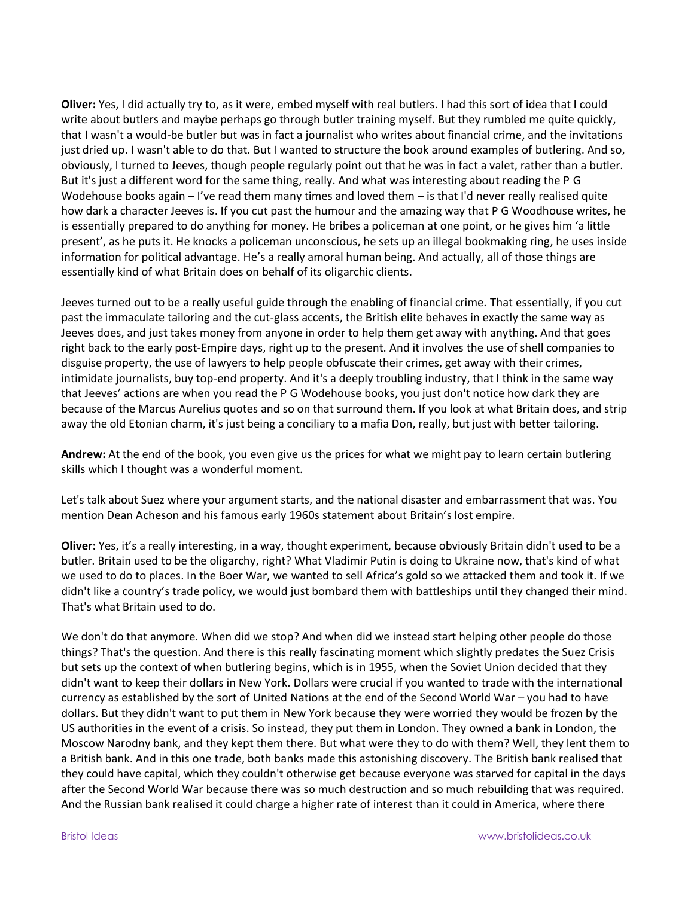**Oliver:** Yes, I did actually try to, as it were, embed myself with real butlers. I had this sort of idea that I could write about butlers and maybe perhaps go through butler training myself. But they rumbled me quite quickly, that I wasn't a would-be butler but was in fact a journalist who writes about financial crime, and the invitations just dried up. I wasn't able to do that. But I wanted to structure the book around examples of butlering. And so, obviously, I turned to Jeeves, though people regularly point out that he was in fact a valet, rather than a butler. But it's just a different word for the same thing, really. And what was interesting about reading the P G Wodehouse books again – I've read them many times and loved them – is that I'd never really realised quite how dark a character Jeeves is. If you cut past the humour and the amazing way that P G Woodhouse writes, he is essentially prepared to do anything for money. He bribes a policeman at one point, or he gives him 'a little present', as he puts it. He knocks a policeman unconscious, he sets up an illegal bookmaking ring, he uses inside information for political advantage. He's a really amoral human being. And actually, all of those things are essentially kind of what Britain does on behalf of its oligarchic clients.

Jeeves turned out to be a really useful guide through the enabling of financial crime. That essentially, if you cut past the immaculate tailoring and the cut-glass accents, the British elite behaves in exactly the same way as Jeeves does, and just takes money from anyone in order to help them get away with anything. And that goes right back to the early post-Empire days, right up to the present. And it involves the use of shell companies to disguise property, the use of lawyers to help people obfuscate their crimes, get away with their crimes, intimidate journalists, buy top-end property. And it's a deeply troubling industry, that I think in the same way that Jeeves' actions are when you read the P G Wodehouse books, you just don't notice how dark they are because of the Marcus Aurelius quotes and so on that surround them. If you look at what Britain does, and strip away the old Etonian charm, it's just being a conciliary to a mafia Don, really, but just with better tailoring.

**Andrew:** At the end of the book, you even give us the prices for what we might pay to learn certain butlering skills which I thought was a wonderful moment.

Let's talk about Suez where your argument starts, and the national disaster and embarrassment that was. You mention Dean Acheson and his famous early 1960s statement about Britain's lost empire.

**Oliver:** Yes, it's a really interesting, in a way, thought experiment, because obviously Britain didn't used to be a butler. Britain used to be the oligarchy, right? What Vladimir Putin is doing to Ukraine now, that's kind of what we used to do to places. In the Boer War, we wanted to sell Africa's gold so we attacked them and took it. If we didn't like a country's trade policy, we would just bombard them with battleships until they changed their mind. That's what Britain used to do.

We don't do that anymore. When did we stop? And when did we instead start helping other people do those things? That's the question. And there is this really fascinating moment which slightly predates the Suez Crisis but sets up the context of when butlering begins, which is in 1955, when the Soviet Union decided that they didn't want to keep their dollars in New York. Dollars were crucial if you wanted to trade with the international currency as established by the sort of United Nations at the end of the Second World War – you had to have dollars. But they didn't want to put them in New York because they were worried they would be frozen by the US authorities in the event of a crisis. So instead, they put them in London. They owned a bank in London, the Moscow Narodny bank, and they kept them there. But what were they to do with them? Well, they lent them to a British bank. And in this one trade, both banks made this astonishing discovery. The British bank realised that they could have capital, which they couldn't otherwise get because everyone was starved for capital in the days after the Second World War because there was so much destruction and so much rebuilding that was required. And the Russian bank realised it could charge a higher rate of interest than it could in America, where there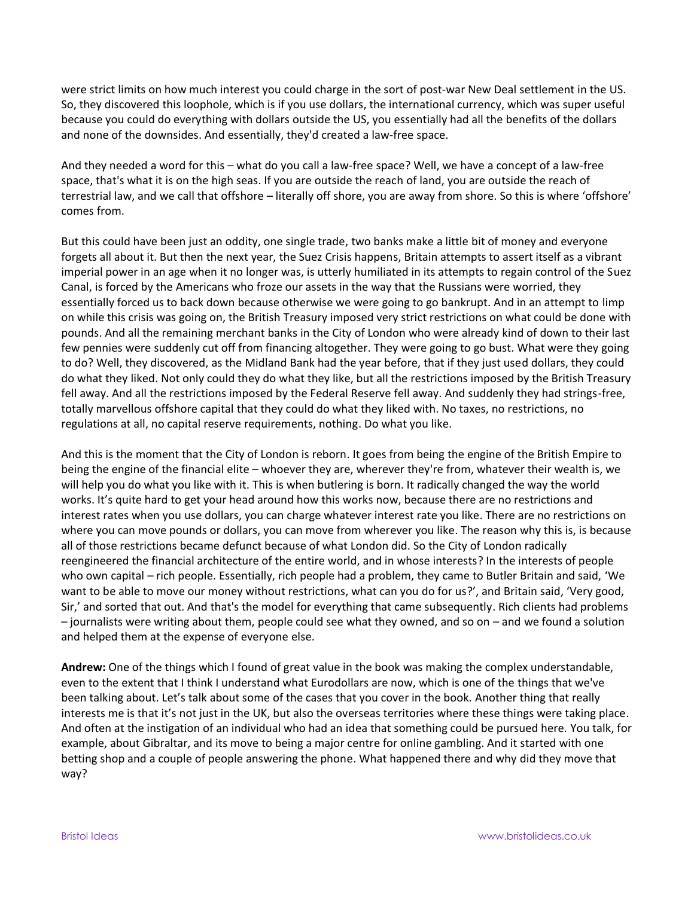were strict limits on how much interest you could charge in the sort of post-war New Deal settlement in the US. So, they discovered this loophole, which is if you use dollars, the international currency, which was super useful because you could do everything with dollars outside the US, you essentially had all the benefits of the dollars and none of the downsides. And essentially, they'd created a law-free space.

And they needed a word for this – what do you call a law-free space? Well, we have a concept of a law-free space, that's what it is on the high seas. If you are outside the reach of land, you are outside the reach of terrestrial law, and we call that offshore – literally off shore, you are away from shore. So this is where 'offshore' comes from.

But this could have been just an oddity, one single trade, two banks make a little bit of money and everyone forgets all about it. But then the next year, the Suez Crisis happens, Britain attempts to assert itself as a vibrant imperial power in an age when it no longer was, is utterly humiliated in its attempts to regain control of the Suez Canal, is forced by the Americans who froze our assets in the way that the Russians were worried, they essentially forced us to back down because otherwise we were going to go bankrupt. And in an attempt to limp on while this crisis was going on, the British Treasury imposed very strict restrictions on what could be done with pounds. And all the remaining merchant banks in the City of London who were already kind of down to their last few pennies were suddenly cut off from financing altogether. They were going to go bust. What were they going to do? Well, they discovered, as the Midland Bank had the year before, that if they just used dollars, they could do what they liked. Not only could they do what they like, but all the restrictions imposed by the British Treasury fell away. And all the restrictions imposed by the Federal Reserve fell away. And suddenly they had strings-free, totally marvellous offshore capital that they could do what they liked with. No taxes, no restrictions, no regulations at all, no capital reserve requirements, nothing. Do what you like.

And this is the moment that the City of London is reborn. It goes from being the engine of the British Empire to being the engine of the financial elite – whoever they are, wherever they're from, whatever their wealth is, we will help you do what you like with it. This is when butlering is born. It radically changed the way the world works. It's quite hard to get your head around how this works now, because there are no restrictions and interest rates when you use dollars, you can charge whatever interest rate you like. There are no restrictions on where you can move pounds or dollars, you can move from wherever you like. The reason why this is, is because all of those restrictions became defunct because of what London did. So the City of London radically reengineered the financial architecture of the entire world, and in whose interests? In the interests of people who own capital – rich people. Essentially, rich people had a problem, they came to Butler Britain and said, 'We want to be able to move our money without restrictions, what can you do for us?', and Britain said, 'Very good, Sir,' and sorted that out. And that's the model for everything that came subsequently. Rich clients had problems – journalists were writing about them, people could see what they owned, and so on – and we found a solution and helped them at the expense of everyone else.

**Andrew:** One of the things which I found of great value in the book was making the complex understandable, even to the extent that I think I understand what Eurodollars are now, which is one of the things that we've been talking about. Let's talk about some of the cases that you cover in the book. Another thing that really interests me is that it's not just in the UK, but also the overseas territories where these things were taking place. And often at the instigation of an individual who had an idea that something could be pursued here. You talk, for example, about Gibraltar, and its move to being a major centre for online gambling. And it started with one betting shop and a couple of people answering the phone. What happened there and why did they move that way?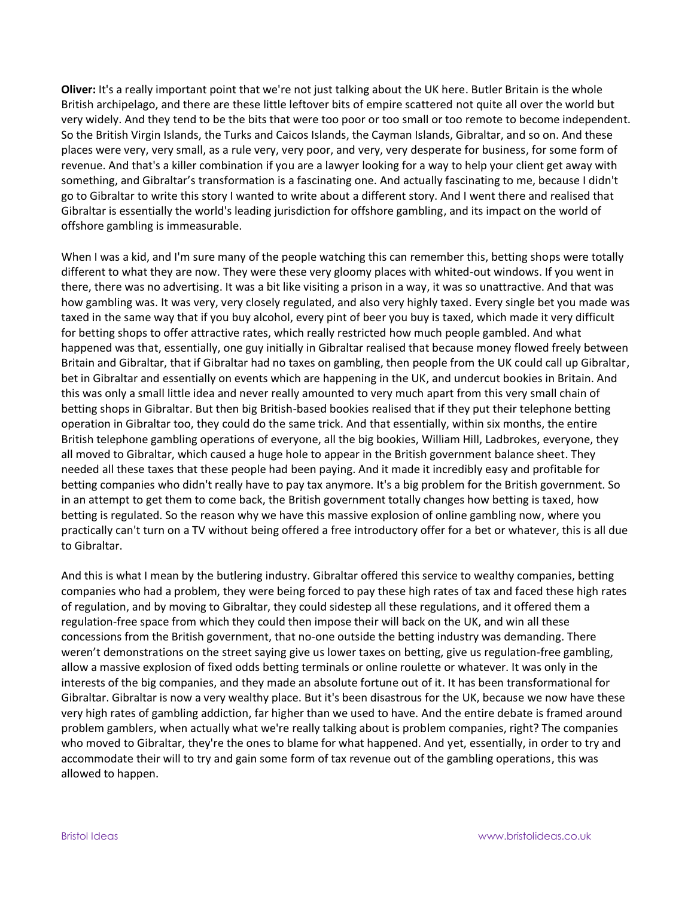**Oliver:** It's a really important point that we're not just talking about the UK here. Butler Britain is the whole British archipelago, and there are these little leftover bits of empire scattered not quite all over the world but very widely. And they tend to be the bits that were too poor or too small or too remote to become independent. So the British Virgin Islands, the Turks and Caicos Islands, the Cayman Islands, Gibraltar, and so on. And these places were very, very small, as a rule very, very poor, and very, very desperate for business, for some form of revenue. And that's a killer combination if you are a lawyer looking for a way to help your client get away with something, and Gibraltar's transformation is a fascinating one. And actually fascinating to me, because I didn't go to Gibraltar to write this story I wanted to write about a different story. And I went there and realised that Gibraltar is essentially the world's leading jurisdiction for offshore gambling, and its impact on the world of offshore gambling is immeasurable.

When I was a kid, and I'm sure many of the people watching this can remember this, betting shops were totally different to what they are now. They were these very gloomy places with whited-out windows. If you went in there, there was no advertising. It was a bit like visiting a prison in a way, it was so unattractive. And that was how gambling was. It was very, very closely regulated, and also very highly taxed. Every single bet you made was taxed in the same way that if you buy alcohol, every pint of beer you buy is taxed, which made it very difficult for betting shops to offer attractive rates, which really restricted how much people gambled. And what happened was that, essentially, one guy initially in Gibraltar realised that because money flowed freely between Britain and Gibraltar, that if Gibraltar had no taxes on gambling, then people from the UK could call up Gibraltar, bet in Gibraltar and essentially on events which are happening in the UK, and undercut bookies in Britain. And this was only a small little idea and never really amounted to very much apart from this very small chain of betting shops in Gibraltar. But then big British-based bookies realised that if they put their telephone betting operation in Gibraltar too, they could do the same trick. And that essentially, within six months, the entire British telephone gambling operations of everyone, all the big bookies, William Hill, Ladbrokes, everyone, they all moved to Gibraltar, which caused a huge hole to appear in the British government balance sheet. They needed all these taxes that these people had been paying. And it made it incredibly easy and profitable for betting companies who didn't really have to pay tax anymore. It's a big problem for the British government. So in an attempt to get them to come back, the British government totally changes how betting is taxed, how betting is regulated. So the reason why we have this massive explosion of online gambling now, where you practically can't turn on a TV without being offered a free introductory offer for a bet or whatever, this is all due to Gibraltar.

And this is what I mean by the butlering industry. Gibraltar offered this service to wealthy companies, betting companies who had a problem, they were being forced to pay these high rates of tax and faced these high rates of regulation, and by moving to Gibraltar, they could sidestep all these regulations, and it offered them a regulation-free space from which they could then impose their will back on the UK, and win all these concessions from the British government, that no-one outside the betting industry was demanding. There weren't demonstrations on the street saying give us lower taxes on betting, give us regulation-free gambling, allow a massive explosion of fixed odds betting terminals or online roulette or whatever. It was only in the interests of the big companies, and they made an absolute fortune out of it. It has been transformational for Gibraltar. Gibraltar is now a very wealthy place. But it's been disastrous for the UK, because we now have these very high rates of gambling addiction, far higher than we used to have. And the entire debate is framed around problem gamblers, when actually what we're really talking about is problem companies, right? The companies who moved to Gibraltar, they're the ones to blame for what happened. And yet, essentially, in order to try and accommodate their will to try and gain some form of tax revenue out of the gambling operations, this was allowed to happen.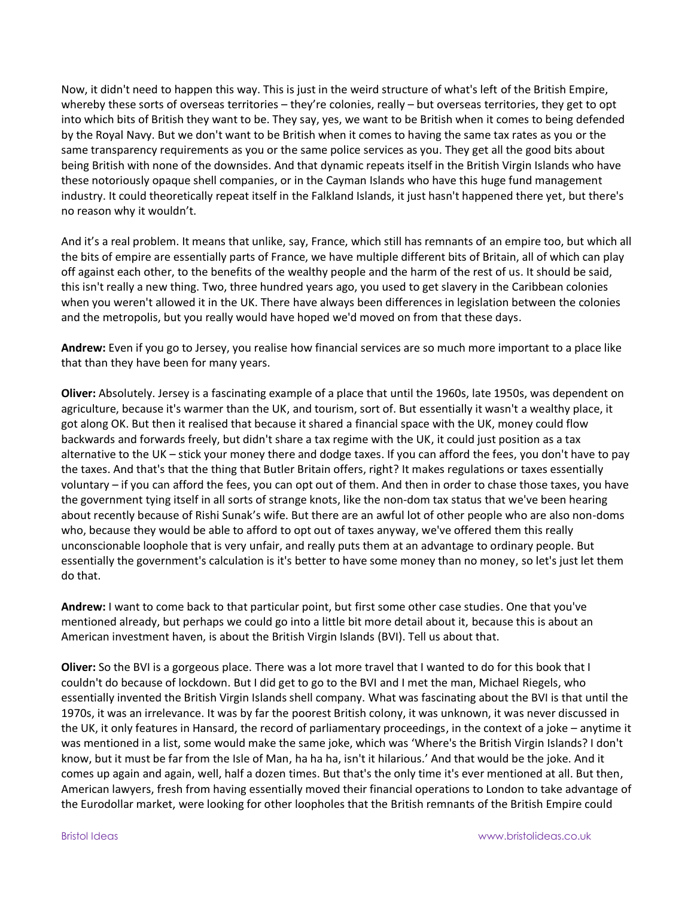Now, it didn't need to happen this way. This is just in the weird structure of what's left of the British Empire, whereby these sorts of overseas territories – they're colonies, really – but overseas territories, they get to opt into which bits of British they want to be. They say, yes, we want to be British when it comes to being defended by the Royal Navy. But we don't want to be British when it comes to having the same tax rates as you or the same transparency requirements as you or the same police services as you. They get all the good bits about being British with none of the downsides. And that dynamic repeats itself in the British Virgin Islands who have these notoriously opaque shell companies, or in the Cayman Islands who have this huge fund management industry. It could theoretically repeat itself in the Falkland Islands, it just hasn't happened there yet, but there's no reason why it wouldn't.

And it's a real problem. It means that unlike, say, France, which still has remnants of an empire too, but which all the bits of empire are essentially parts of France, we have multiple different bits of Britain, all of which can play off against each other, to the benefits of the wealthy people and the harm of the rest of us. It should be said, this isn't really a new thing. Two, three hundred years ago, you used to get slavery in the Caribbean colonies when you weren't allowed it in the UK. There have always been differences in legislation between the colonies and the metropolis, but you really would have hoped we'd moved on from that these days.

**Andrew:** Even if you go to Jersey, you realise how financial services are so much more important to a place like that than they have been for many years.

**Oliver:** Absolutely. Jersey is a fascinating example of a place that until the 1960s, late 1950s, was dependent on agriculture, because it's warmer than the UK, and tourism, sort of. But essentially it wasn't a wealthy place, it got along OK. But then it realised that because it shared a financial space with the UK, money could flow backwards and forwards freely, but didn't share a tax regime with the UK, it could just position as a tax alternative to the UK – stick your money there and dodge taxes. If you can afford the fees, you don't have to pay the taxes. And that's that the thing that Butler Britain offers, right? It makes regulations or taxes essentially voluntary – if you can afford the fees, you can opt out of them. And then in order to chase those taxes, you have the government tying itself in all sorts of strange knots, like the non-dom tax status that we've been hearing about recently because of Rishi Sunak's wife. But there are an awful lot of other people who are also non-doms who, because they would be able to afford to opt out of taxes anyway, we've offered them this really unconscionable loophole that is very unfair, and really puts them at an advantage to ordinary people. But essentially the government's calculation is it's better to have some money than no money, so let's just let them do that.

**Andrew:** I want to come back to that particular point, but first some other case studies. One that you've mentioned already, but perhaps we could go into a little bit more detail about it, because this is about an American investment haven, is about the British Virgin Islands (BVI). Tell us about that.

**Oliver:** So the BVI is a gorgeous place. There was a lot more travel that I wanted to do for this book that I couldn't do because of lockdown. But I did get to go to the BVI and I met the man, Michael Riegels, who essentially invented the British Virgin Islands shell company. What was fascinating about the BVI is that until the 1970s, it was an irrelevance. It was by far the poorest British colony, it was unknown, it was never discussed in the UK, it only features in Hansard, the record of parliamentary proceedings, in the context of a joke – anytime it was mentioned in a list, some would make the same joke, which was 'Where's the British Virgin Islands? I don't know, but it must be far from the Isle of Man, ha ha ha, isn't it hilarious.' And that would be the joke. And it comes up again and again, well, half a dozen times. But that's the only time it's ever mentioned at all. But then, American lawyers, fresh from having essentially moved their financial operations to London to take advantage of the Eurodollar market, were looking for other loopholes that the British remnants of the British Empire could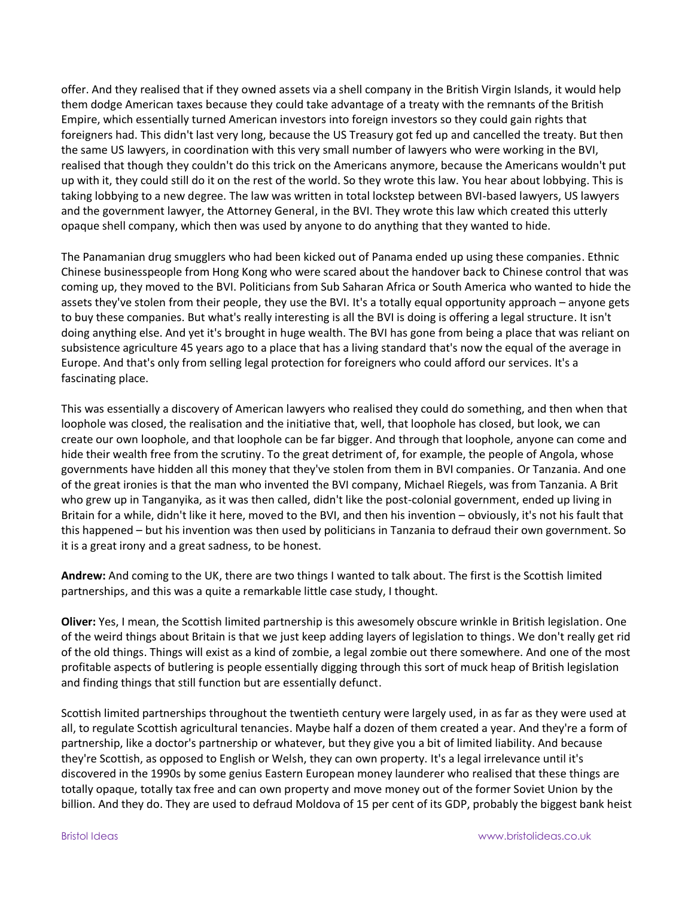offer. And they realised that if they owned assets via a shell company in the British Virgin Islands, it would help them dodge American taxes because they could take advantage of a treaty with the remnants of the British Empire, which essentially turned American investors into foreign investors so they could gain rights that foreigners had. This didn't last very long, because the US Treasury got fed up and cancelled the treaty. But then the same US lawyers, in coordination with this very small number of lawyers who were working in the BVI, realised that though they couldn't do this trick on the Americans anymore, because the Americans wouldn't put up with it, they could still do it on the rest of the world. So they wrote this law. You hear about lobbying. This is taking lobbying to a new degree. The law was written in total lockstep between BVI-based lawyers, US lawyers and the government lawyer, the Attorney General, in the BVI. They wrote this law which created this utterly opaque shell company, which then was used by anyone to do anything that they wanted to hide.

The Panamanian drug smugglers who had been kicked out of Panama ended up using these companies. Ethnic Chinese businesspeople from Hong Kong who were scared about the handover back to Chinese control that was coming up, they moved to the BVI. Politicians from Sub Saharan Africa or South America who wanted to hide the assets they've stolen from their people, they use the BVI. It's a totally equal opportunity approach – anyone gets to buy these companies. But what's really interesting is all the BVI is doing is offering a legal structure. It isn't doing anything else. And yet it's brought in huge wealth. The BVI has gone from being a place that was reliant on subsistence agriculture 45 years ago to a place that has a living standard that's now the equal of the average in Europe. And that's only from selling legal protection for foreigners who could afford our services. It's a fascinating place.

This was essentially a discovery of American lawyers who realised they could do something, and then when that loophole was closed, the realisation and the initiative that, well, that loophole has closed, but look, we can create our own loophole, and that loophole can be far bigger. And through that loophole, anyone can come and hide their wealth free from the scrutiny. To the great detriment of, for example, the people of Angola, whose governments have hidden all this money that they've stolen from them in BVI companies. Or Tanzania. And one of the great ironies is that the man who invented the BVI company, Michael Riegels, was from Tanzania. A Brit who grew up in Tanganyika, as it was then called, didn't like the post-colonial government, ended up living in Britain for a while, didn't like it here, moved to the BVI, and then his invention – obviously, it's not his fault that this happened – but his invention was then used by politicians in Tanzania to defraud their own government. So it is a great irony and a great sadness, to be honest.

**Andrew:** And coming to the UK, there are two things I wanted to talk about. The first is the Scottish limited partnerships, and this was a quite a remarkable little case study, I thought.

**Oliver:** Yes, I mean, the Scottish limited partnership is this awesomely obscure wrinkle in British legislation. One of the weird things about Britain is that we just keep adding layers of legislation to things. We don't really get rid of the old things. Things will exist as a kind of zombie, a legal zombie out there somewhere. And one of the most profitable aspects of butlering is people essentially digging through this sort of muck heap of British legislation and finding things that still function but are essentially defunct.

Scottish limited partnerships throughout the twentieth century were largely used, in as far as they were used at all, to regulate Scottish agricultural tenancies. Maybe half a dozen of them created a year. And they're a form of partnership, like a doctor's partnership or whatever, but they give you a bit of limited liability. And because they're Scottish, as opposed to English or Welsh, they can own property. It's a legal irrelevance until it's discovered in the 1990s by some genius Eastern European money launderer who realised that these things are totally opaque, totally tax free and can own property and move money out of the former Soviet Union by the billion. And they do. They are used to defraud Moldova of 15 per cent of its GDP, probably the biggest bank heist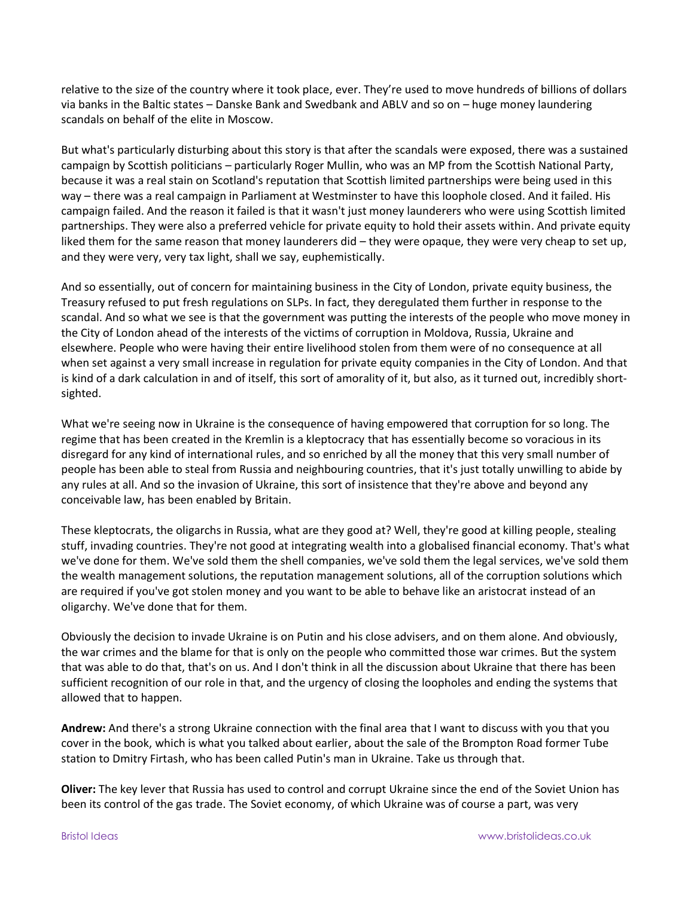relative to the size of the country where it took place, ever. They're used to move hundreds of billions of dollars via banks in the Baltic states – Danske Bank and Swedbank and ABLV and so on – huge money laundering scandals on behalf of the elite in Moscow.

But what's particularly disturbing about this story is that after the scandals were exposed, there was a sustained campaign by Scottish politicians – particularly Roger Mullin, who was an MP from the Scottish National Party, because it was a real stain on Scotland's reputation that Scottish limited partnerships were being used in this way – there was a real campaign in Parliament at Westminster to have this loophole closed. And it failed. His campaign failed. And the reason it failed is that it wasn't just money launderers who were using Scottish limited partnerships. They were also a preferred vehicle for private equity to hold their assets within. And private equity liked them for the same reason that money launderers did – they were opaque, they were very cheap to set up, and they were very, very tax light, shall we say, euphemistically.

And so essentially, out of concern for maintaining business in the City of London, private equity business, the Treasury refused to put fresh regulations on SLPs. In fact, they deregulated them further in response to the scandal. And so what we see is that the government was putting the interests of the people who move money in the City of London ahead of the interests of the victims of corruption in Moldova, Russia, Ukraine and elsewhere. People who were having their entire livelihood stolen from them were of no consequence at all when set against a very small increase in regulation for private equity companies in the City of London. And that is kind of a dark calculation in and of itself, this sort of amorality of it, but also, as it turned out, incredibly shortsighted.

What we're seeing now in Ukraine is the consequence of having empowered that corruption for so long. The regime that has been created in the Kremlin is a kleptocracy that has essentially become so voracious in its disregard for any kind of international rules, and so enriched by all the money that this very small number of people has been able to steal from Russia and neighbouring countries, that it's just totally unwilling to abide by any rules at all. And so the invasion of Ukraine, this sort of insistence that they're above and beyond any conceivable law, has been enabled by Britain.

These kleptocrats, the oligarchs in Russia, what are they good at? Well, they're good at killing people, stealing stuff, invading countries. They're not good at integrating wealth into a globalised financial economy. That's what we've done for them. We've sold them the shell companies, we've sold them the legal services, we've sold them the wealth management solutions, the reputation management solutions, all of the corruption solutions which are required if you've got stolen money and you want to be able to behave like an aristocrat instead of an oligarchy. We've done that for them.

Obviously the decision to invade Ukraine is on Putin and his close advisers, and on them alone. And obviously, the war crimes and the blame for that is only on the people who committed those war crimes. But the system that was able to do that, that's on us. And I don't think in all the discussion about Ukraine that there has been sufficient recognition of our role in that, and the urgency of closing the loopholes and ending the systems that allowed that to happen.

**Andrew:** And there's a strong Ukraine connection with the final area that I want to discuss with you that you cover in the book, which is what you talked about earlier, about the sale of the Brompton Road former Tube station to Dmitry Firtash, who has been called Putin's man in Ukraine. Take us through that.

**Oliver:** The key lever that Russia has used to control and corrupt Ukraine since the end of the Soviet Union has been its control of the gas trade. The Soviet economy, of which Ukraine was of course a part, was very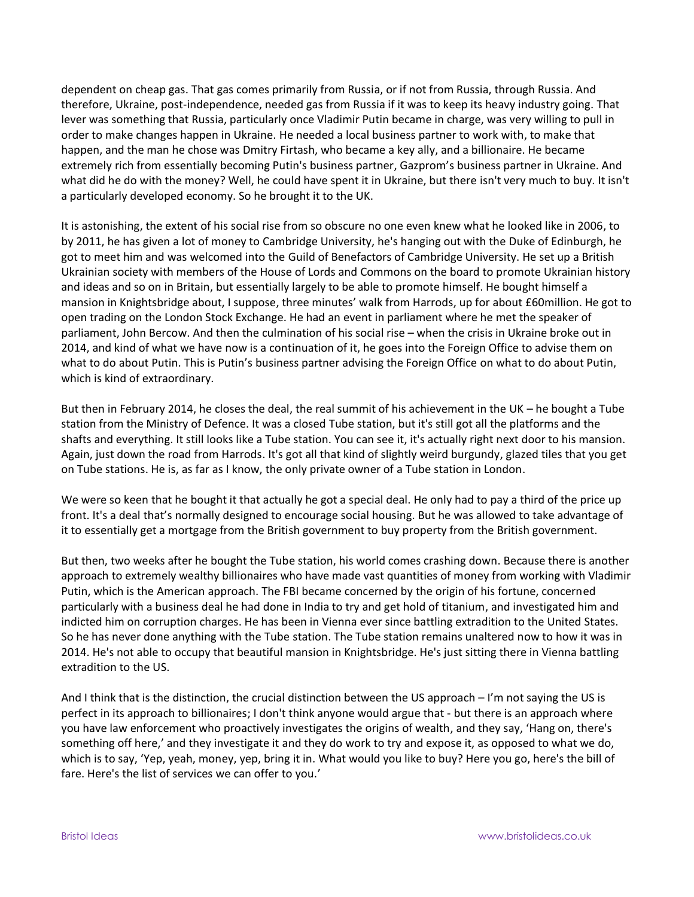dependent on cheap gas. That gas comes primarily from Russia, or if not from Russia, through Russia. And therefore, Ukraine, post-independence, needed gas from Russia if it was to keep its heavy industry going. That lever was something that Russia, particularly once Vladimir Putin became in charge, was very willing to pull in order to make changes happen in Ukraine. He needed a local business partner to work with, to make that happen, and the man he chose was Dmitry Firtash, who became a key ally, and a billionaire. He became extremely rich from essentially becoming Putin's business partner, Gazprom's business partner in Ukraine. And what did he do with the money? Well, he could have spent it in Ukraine, but there isn't very much to buy. It isn't a particularly developed economy. So he brought it to the UK.

It is astonishing, the extent of his social rise from so obscure no one even knew what he looked like in 2006, to by 2011, he has given a lot of money to Cambridge University, he's hanging out with the Duke of Edinburgh, he got to meet him and was welcomed into the Guild of Benefactors of Cambridge University. He set up a British Ukrainian society with members of the House of Lords and Commons on the board to promote Ukrainian history and ideas and so on in Britain, but essentially largely to be able to promote himself. He bought himself a mansion in Knightsbridge about, I suppose, three minutes' walk from Harrods, up for about £60million. He got to open trading on the London Stock Exchange. He had an event in parliament where he met the speaker of parliament, John Bercow. And then the culmination of his social rise – when the crisis in Ukraine broke out in 2014, and kind of what we have now is a continuation of it, he goes into the Foreign Office to advise them on what to do about Putin. This is Putin's business partner advising the Foreign Office on what to do about Putin, which is kind of extraordinary.

But then in February 2014, he closes the deal, the real summit of his achievement in the UK – he bought a Tube station from the Ministry of Defence. It was a closed Tube station, but it's still got all the platforms and the shafts and everything. It still looks like a Tube station. You can see it, it's actually right next door to his mansion. Again, just down the road from Harrods. It's got all that kind of slightly weird burgundy, glazed tiles that you get on Tube stations. He is, as far as I know, the only private owner of a Tube station in London.

We were so keen that he bought it that actually he got a special deal. He only had to pay a third of the price up front. It's a deal that's normally designed to encourage social housing. But he was allowed to take advantage of it to essentially get a mortgage from the British government to buy property from the British government.

But then, two weeks after he bought the Tube station, his world comes crashing down. Because there is another approach to extremely wealthy billionaires who have made vast quantities of money from working with Vladimir Putin, which is the American approach. The FBI became concerned by the origin of his fortune, concerned particularly with a business deal he had done in India to try and get hold of titanium, and investigated him and indicted him on corruption charges. He has been in Vienna ever since battling extradition to the United States. So he has never done anything with the Tube station. The Tube station remains unaltered now to how it was in 2014. He's not able to occupy that beautiful mansion in Knightsbridge. He's just sitting there in Vienna battling extradition to the US.

And I think that is the distinction, the crucial distinction between the US approach – I'm not saying the US is perfect in its approach to billionaires; I don't think anyone would argue that - but there is an approach where you have law enforcement who proactively investigates the origins of wealth, and they say, 'Hang on, there's something off here,' and they investigate it and they do work to try and expose it, as opposed to what we do, which is to say, 'Yep, yeah, money, yep, bring it in. What would you like to buy? Here you go, here's the bill of fare. Here's the list of services we can offer to you.'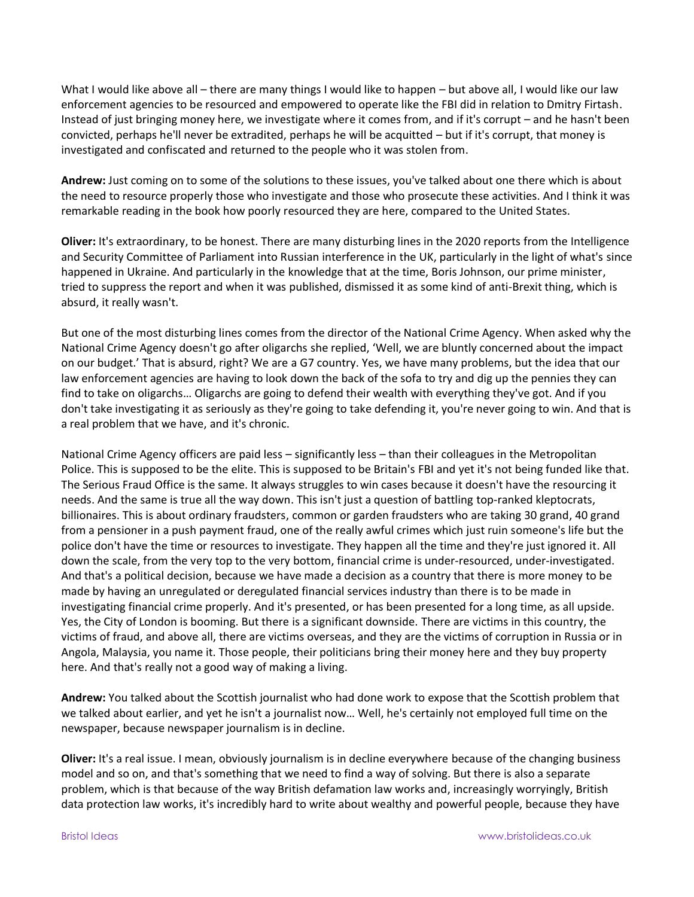What I would like above all – there are many things I would like to happen – but above all, I would like our law enforcement agencies to be resourced and empowered to operate like the FBI did in relation to Dmitry Firtash. Instead of just bringing money here, we investigate where it comes from, and if it's corrupt – and he hasn't been convicted, perhaps he'll never be extradited, perhaps he will be acquitted – but if it's corrupt, that money is investigated and confiscated and returned to the people who it was stolen from.

**Andrew:** Just coming on to some of the solutions to these issues, you've talked about one there which is about the need to resource properly those who investigate and those who prosecute these activities. And I think it was remarkable reading in the book how poorly resourced they are here, compared to the United States.

**Oliver:** It's extraordinary, to be honest. There are many disturbing lines in the 2020 reports from the Intelligence and Security Committee of Parliament into Russian interference in the UK, particularly in the light of what's since happened in Ukraine. And particularly in the knowledge that at the time, Boris Johnson, our prime minister, tried to suppress the report and when it was published, dismissed it as some kind of anti-Brexit thing, which is absurd, it really wasn't.

But one of the most disturbing lines comes from the director of the National Crime Agency. When asked why the National Crime Agency doesn't go after oligarchs she replied, 'Well, we are bluntly concerned about the impact on our budget.' That is absurd, right? We are a G7 country. Yes, we have many problems, but the idea that our law enforcement agencies are having to look down the back of the sofa to try and dig up the pennies they can find to take on oligarchs… Oligarchs are going to defend their wealth with everything they've got. And if you don't take investigating it as seriously as they're going to take defending it, you're never going to win. And that is a real problem that we have, and it's chronic.

National Crime Agency officers are paid less – significantly less – than their colleagues in the Metropolitan Police. This is supposed to be the elite. This is supposed to be Britain's FBI and yet it's not being funded like that. The Serious Fraud Office is the same. It always struggles to win cases because it doesn't have the resourcing it needs. And the same is true all the way down. This isn't just a question of battling top-ranked kleptocrats, billionaires. This is about ordinary fraudsters, common or garden fraudsters who are taking 30 grand, 40 grand from a pensioner in a push payment fraud, one of the really awful crimes which just ruin someone's life but the police don't have the time or resources to investigate. They happen all the time and they're just ignored it. All down the scale, from the very top to the very bottom, financial crime is under-resourced, under-investigated. And that's a political decision, because we have made a decision as a country that there is more money to be made by having an unregulated or deregulated financial services industry than there is to be made in investigating financial crime properly. And it's presented, or has been presented for a long time, as all upside. Yes, the City of London is booming. But there is a significant downside. There are victims in this country, the victims of fraud, and above all, there are victims overseas, and they are the victims of corruption in Russia or in Angola, Malaysia, you name it. Those people, their politicians bring their money here and they buy property here. And that's really not a good way of making a living.

**Andrew:** You talked about the Scottish journalist who had done work to expose that the Scottish problem that we talked about earlier, and yet he isn't a journalist now… Well, he's certainly not employed full time on the newspaper, because newspaper journalism is in decline.

**Oliver:** It's a real issue. I mean, obviously journalism is in decline everywhere because of the changing business model and so on, and that's something that we need to find a way of solving. But there is also a separate problem, which is that because of the way British defamation law works and, increasingly worryingly, British data protection law works, it's incredibly hard to write about wealthy and powerful people, because they have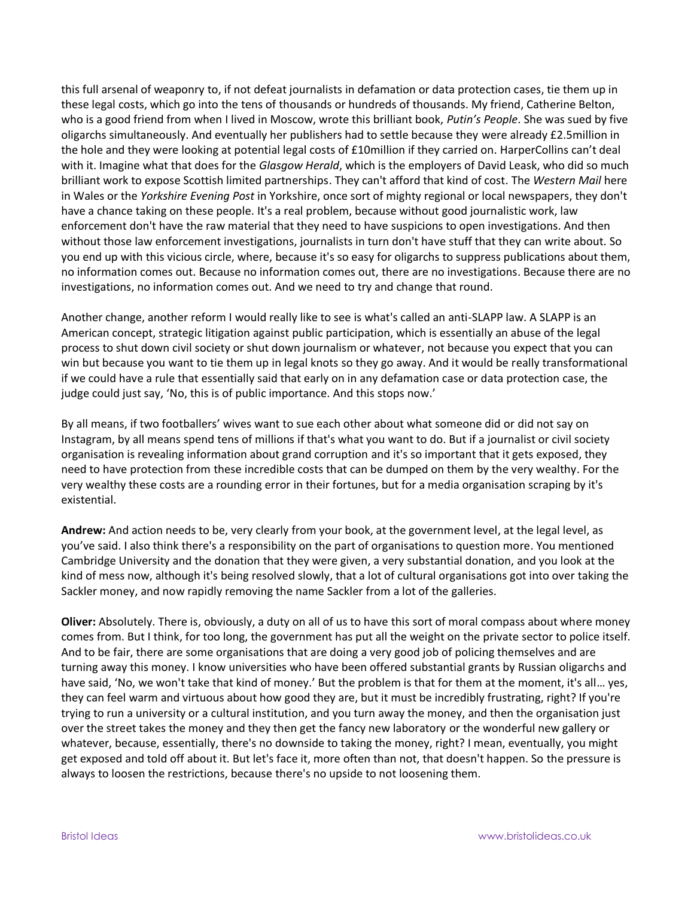this full arsenal of weaponry to, if not defeat journalists in defamation or data protection cases, tie them up in these legal costs, which go into the tens of thousands or hundreds of thousands. My friend, Catherine Belton, who is a good friend from when I lived in Moscow, wrote this brilliant book, *Putin's People*. She was sued by five oligarchs simultaneously. And eventually her publishers had to settle because they were already £2.5million in the hole and they were looking at potential legal costs of £10million if they carried on. HarperCollins can't deal with it. Imagine what that does for the *Glasgow Herald*, which is the employers of David Leask, who did so much brilliant work to expose Scottish limited partnerships. They can't afford that kind of cost. The *Western Mail* here in Wales or the *Yorkshire Evening Post* in Yorkshire, once sort of mighty regional or local newspapers, they don't have a chance taking on these people. It's a real problem, because without good journalistic work, law enforcement don't have the raw material that they need to have suspicions to open investigations. And then without those law enforcement investigations, journalists in turn don't have stuff that they can write about. So you end up with this vicious circle, where, because it's so easy for oligarchs to suppress publications about them, no information comes out. Because no information comes out, there are no investigations. Because there are no investigations, no information comes out. And we need to try and change that round.

Another change, another reform I would really like to see is what's called an anti-SLAPP law. A SLAPP is an American concept, strategic litigation against public participation, which is essentially an abuse of the legal process to shut down civil society or shut down journalism or whatever, not because you expect that you can win but because you want to tie them up in legal knots so they go away. And it would be really transformational if we could have a rule that essentially said that early on in any defamation case or data protection case, the judge could just say, 'No, this is of public importance. And this stops now.'

By all means, if two footballers' wives want to sue each other about what someone did or did not say on Instagram, by all means spend tens of millions if that's what you want to do. But if a journalist or civil society organisation is revealing information about grand corruption and it's so important that it gets exposed, they need to have protection from these incredible costs that can be dumped on them by the very wealthy. For the very wealthy these costs are a rounding error in their fortunes, but for a media organisation scraping by it's existential.

**Andrew:** And action needs to be, very clearly from your book, at the government level, at the legal level, as you've said. I also think there's a responsibility on the part of organisations to question more. You mentioned Cambridge University and the donation that they were given, a very substantial donation, and you look at the kind of mess now, although it's being resolved slowly, that a lot of cultural organisations got into over taking the Sackler money, and now rapidly removing the name Sackler from a lot of the galleries.

**Oliver:** Absolutely. There is, obviously, a duty on all of us to have this sort of moral compass about where money comes from. But I think, for too long, the government has put all the weight on the private sector to police itself. And to be fair, there are some organisations that are doing a very good job of policing themselves and are turning away this money. I know universities who have been offered substantial grants by Russian oligarchs and have said, 'No, we won't take that kind of money.' But the problem is that for them at the moment, it's all... yes, they can feel warm and virtuous about how good they are, but it must be incredibly frustrating, right? If you're trying to run a university or a cultural institution, and you turn away the money, and then the organisation just over the street takes the money and they then get the fancy new laboratory or the wonderful new gallery or whatever, because, essentially, there's no downside to taking the money, right? I mean, eventually, you might get exposed and told off about it. But let's face it, more often than not, that doesn't happen. So the pressure is always to loosen the restrictions, because there's no upside to not loosening them.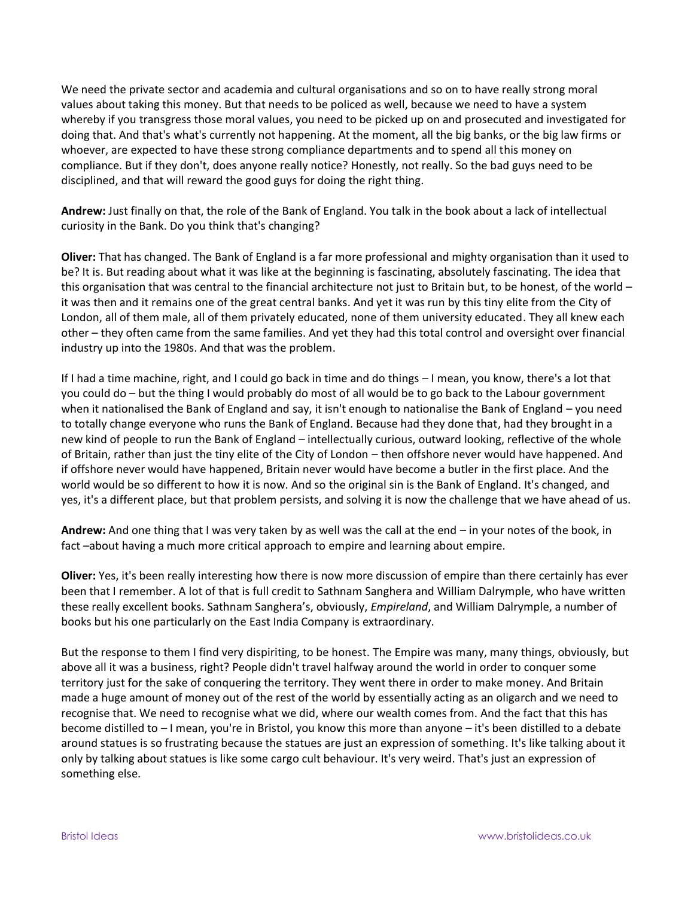We need the private sector and academia and cultural organisations and so on to have really strong moral values about taking this money. But that needs to be policed as well, because we need to have a system whereby if you transgress those moral values, you need to be picked up on and prosecuted and investigated for doing that. And that's what's currently not happening. At the moment, all the big banks, or the big law firms or whoever, are expected to have these strong compliance departments and to spend all this money on compliance. But if they don't, does anyone really notice? Honestly, not really. So the bad guys need to be disciplined, and that will reward the good guys for doing the right thing.

**Andrew:** Just finally on that, the role of the Bank of England. You talk in the book about a lack of intellectual curiosity in the Bank. Do you think that's changing?

**Oliver:** That has changed. The Bank of England is a far more professional and mighty organisation than it used to be? It is. But reading about what it was like at the beginning is fascinating, absolutely fascinating. The idea that this organisation that was central to the financial architecture not just to Britain but, to be honest, of the world – it was then and it remains one of the great central banks. And yet it was run by this tiny elite from the City of London, all of them male, all of them privately educated, none of them university educated. They all knew each other – they often came from the same families. And yet they had this total control and oversight over financial industry up into the 1980s. And that was the problem.

If I had a time machine, right, and I could go back in time and do things – I mean, you know, there's a lot that you could do – but the thing I would probably do most of all would be to go back to the Labour government when it nationalised the Bank of England and say, it isn't enough to nationalise the Bank of England – you need to totally change everyone who runs the Bank of England. Because had they done that, had they brought in a new kind of people to run the Bank of England – intellectually curious, outward looking, reflective of the whole of Britain, rather than just the tiny elite of the City of London – then offshore never would have happened. And if offshore never would have happened, Britain never would have become a butler in the first place. And the world would be so different to how it is now. And so the original sin is the Bank of England. It's changed, and yes, it's a different place, but that problem persists, and solving it is now the challenge that we have ahead of us.

**Andrew:** And one thing that I was very taken by as well was the call at the end – in your notes of the book, in fact –about having a much more critical approach to empire and learning about empire.

**Oliver:** Yes, it's been really interesting how there is now more discussion of empire than there certainly has ever been that I remember. A lot of that is full credit to Sathnam Sanghera and William Dalrymple, who have written these really excellent books. Sathnam Sanghera's, obviously, *Empireland*, and William Dalrymple, a number of books but his one particularly on the East India Company is extraordinary.

But the response to them I find very dispiriting, to be honest. The Empire was many, many things, obviously, but above all it was a business, right? People didn't travel halfway around the world in order to conquer some territory just for the sake of conquering the territory. They went there in order to make money. And Britain made a huge amount of money out of the rest of the world by essentially acting as an oligarch and we need to recognise that. We need to recognise what we did, where our wealth comes from. And the fact that this has become distilled to – I mean, you're in Bristol, you know this more than anyone – it's been distilled to a debate around statues is so frustrating because the statues are just an expression of something. It's like talking about it only by talking about statues is like some cargo cult behaviour. It's very weird. That's just an expression of something else.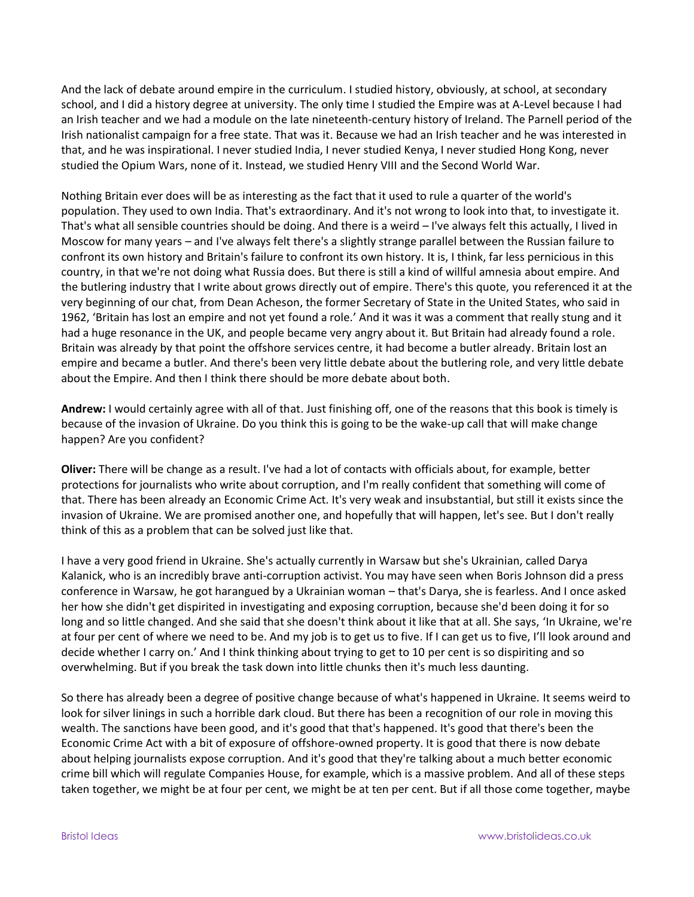And the lack of debate around empire in the curriculum. I studied history, obviously, at school, at secondary school, and I did a history degree at university. The only time I studied the Empire was at A-Level because I had an Irish teacher and we had a module on the late nineteenth-century history of Ireland. The Parnell period of the Irish nationalist campaign for a free state. That was it. Because we had an Irish teacher and he was interested in that, and he was inspirational. I never studied India, I never studied Kenya, I never studied Hong Kong, never studied the Opium Wars, none of it. Instead, we studied Henry VIII and the Second World War.

Nothing Britain ever does will be as interesting as the fact that it used to rule a quarter of the world's population. They used to own India. That's extraordinary. And it's not wrong to look into that, to investigate it. That's what all sensible countries should be doing. And there is a weird – I've always felt this actually, I lived in Moscow for many years – and I've always felt there's a slightly strange parallel between the Russian failure to confront its own history and Britain's failure to confront its own history. It is, I think, far less pernicious in this country, in that we're not doing what Russia does. But there is still a kind of willful amnesia about empire. And the butlering industry that I write about grows directly out of empire. There's this quote, you referenced it at the very beginning of our chat, from Dean Acheson, the former Secretary of State in the United States, who said in 1962, 'Britain has lost an empire and not yet found a role.' And it was it was a comment that really stung and it had a huge resonance in the UK, and people became very angry about it. But Britain had already found a role. Britain was already by that point the offshore services centre, it had become a butler already. Britain lost an empire and became a butler. And there's been very little debate about the butlering role, and very little debate about the Empire. And then I think there should be more debate about both.

**Andrew:** I would certainly agree with all of that. Just finishing off, one of the reasons that this book is timely is because of the invasion of Ukraine. Do you think this is going to be the wake-up call that will make change happen? Are you confident?

**Oliver:** There will be change as a result. I've had a lot of contacts with officials about, for example, better protections for journalists who write about corruption, and I'm really confident that something will come of that. There has been already an Economic Crime Act. It's very weak and insubstantial, but still it exists since the invasion of Ukraine. We are promised another one, and hopefully that will happen, let's see. But I don't really think of this as a problem that can be solved just like that.

I have a very good friend in Ukraine. She's actually currently in Warsaw but she's Ukrainian, called Darya Kalanick, who is an incredibly brave anti-corruption activist. You may have seen when Boris Johnson did a press conference in Warsaw, he got harangued by a Ukrainian woman – that's Darya, she is fearless. And I once asked her how she didn't get dispirited in investigating and exposing corruption, because she'd been doing it for so long and so little changed. And she said that she doesn't think about it like that at all. She says, 'In Ukraine, we're at four per cent of where we need to be. And my job is to get us to five. If I can get us to five, I'll look around and decide whether I carry on.' And I think thinking about trying to get to 10 per cent is so dispiriting and so overwhelming. But if you break the task down into little chunks then it's much less daunting.

So there has already been a degree of positive change because of what's happened in Ukraine. It seems weird to look for silver linings in such a horrible dark cloud. But there has been a recognition of our role in moving this wealth. The sanctions have been good, and it's good that that's happened. It's good that there's been the Economic Crime Act with a bit of exposure of offshore-owned property. It is good that there is now debate about helping journalists expose corruption. And it's good that they're talking about a much better economic crime bill which will regulate Companies House, for example, which is a massive problem. And all of these steps taken together, we might be at four per cent, we might be at ten per cent. But if all those come together, maybe